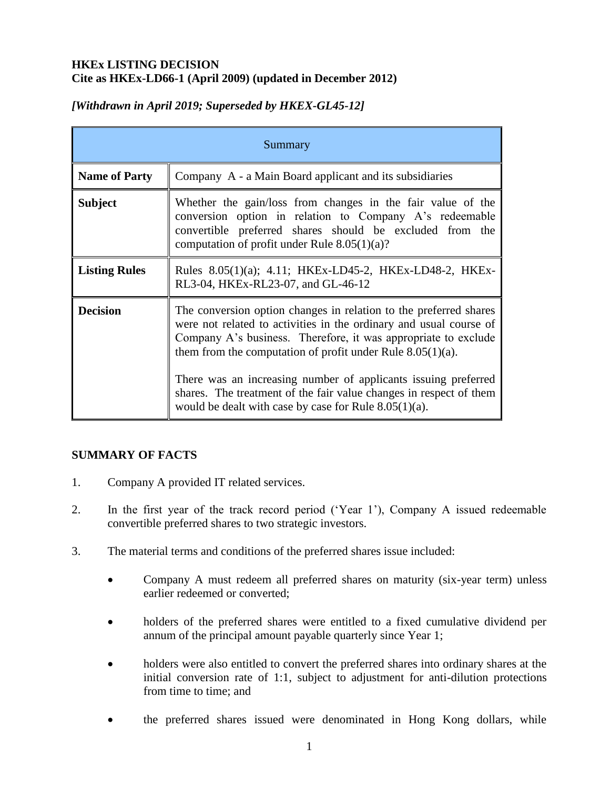## **HKEx LISTING DECISION Cite as HKEx-LD66-1 (April 2009) (updated in December 2012)**

| Summary              |                                                                                                                                                                                                                                                                            |
|----------------------|----------------------------------------------------------------------------------------------------------------------------------------------------------------------------------------------------------------------------------------------------------------------------|
| <b>Name of Party</b> | Company A - a Main Board applicant and its subsidiaries                                                                                                                                                                                                                    |
| <b>Subject</b>       | Whether the gain/loss from changes in the fair value of the<br>conversion option in relation to Company A's redeemable<br>convertible preferred shares should be excluded from the<br>computation of profit under Rule $8.05(1)(a)$ ?                                      |
| <b>Listing Rules</b> | Rules 8.05(1)(a); 4.11; HKEx-LD45-2, HKEx-LD48-2, HKEx-<br>RL3-04, HKEx-RL23-07, and GL-46-12                                                                                                                                                                              |
| <b>Decision</b>      | The conversion option changes in relation to the preferred shares<br>were not related to activities in the ordinary and usual course of<br>Company A's business. Therefore, it was appropriate to exclude<br>them from the computation of profit under Rule $8.05(1)(a)$ . |
|                      | There was an increasing number of applicants issuing preferred<br>shares. The treatment of the fair value changes in respect of them<br>would be dealt with case by case for Rule $8.05(1)(a)$ .                                                                           |

# *[Withdrawn in April 2019; Superseded by HKEX-GL45-12]*

## **SUMMARY OF FACTS**

- 1. Company A provided IT related services.
- 2. In the first year of the track record period ('Year 1'), Company A issued redeemable convertible preferred shares to two strategic investors.
- 3. The material terms and conditions of the preferred shares issue included:
	- Company A must redeem all preferred shares on maturity (six-year term) unless earlier redeemed or converted;
	- holders of the preferred shares were entitled to a fixed cumulative dividend per annum of the principal amount payable quarterly since Year 1;
	- holders were also entitled to convert the preferred shares into ordinary shares at the initial conversion rate of 1:1, subject to adjustment for anti-dilution protections from time to time; and
	- the preferred shares issued were denominated in Hong Kong dollars, while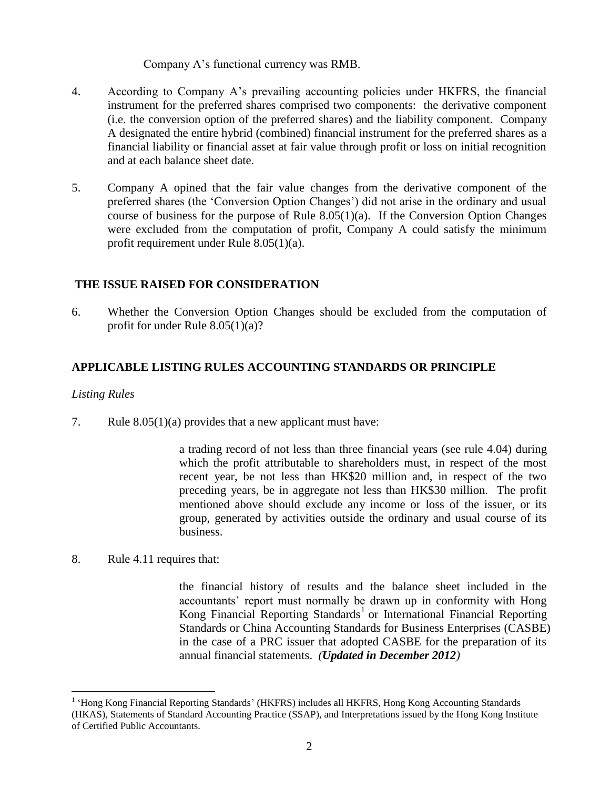Company A's functional currency was RMB.

- 4. According to Company A's prevailing accounting policies under HKFRS, the financial instrument for the preferred shares comprised two components: the derivative component (i.e. the conversion option of the preferred shares) and the liability component. Company A designated the entire hybrid (combined) financial instrument for the preferred shares as a financial liability or financial asset at fair value through profit or loss on initial recognition and at each balance sheet date.
- 5. Company A opined that the fair value changes from the derivative component of the preferred shares (the 'Conversion Option Changes') did not arise in the ordinary and usual course of business for the purpose of Rule 8.05(1)(a). If the Conversion Option Changes were excluded from the computation of profit, Company A could satisfy the minimum profit requirement under Rule 8.05(1)(a).

## **THE ISSUE RAISED FOR CONSIDERATION**

6. Whether the Conversion Option Changes should be excluded from the computation of profit for under Rule 8.05(1)(a)?

### **APPLICABLE LISTING RULES ACCOUNTING STANDARDS OR PRINCIPLE**

### *Listing Rules*

 $\overline{a}$ 

7. Rule 8.05(1)(a) provides that a new applicant must have:

a trading record of not less than three financial years (see rule 4.04) during which the profit attributable to shareholders must, in respect of the most recent year, be not less than HK\$20 million and, in respect of the two preceding years, be in aggregate not less than HK\$30 million. The profit mentioned above should exclude any income or loss of the issuer, or its group, generated by activities outside the ordinary and usual course of its business.

8. Rule 4.11 requires that:

the financial history of results and the balance sheet included in the accountants' report must normally be drawn up in conformity with Hong Kong Financial Reporting Standards<sup>1</sup> or International Financial Reporting Standards or China Accounting Standards for Business Enterprises (CASBE) in the case of a PRC issuer that adopted CASBE for the preparation of its annual financial statements. *(Updated in December 2012)*

<sup>&</sup>lt;sup>1</sup> 'Hong Kong Financial Reporting Standards' (HKFRS) includes all HKFRS, Hong Kong Accounting Standards (HKAS), Statements of Standard Accounting Practice (SSAP), and [Interpretations](http://www.hkicpa.org.hk/professionaltechnical/accounting/interpretations/content.php) issued by the Hong Kong Institute of Certified Public Accountants.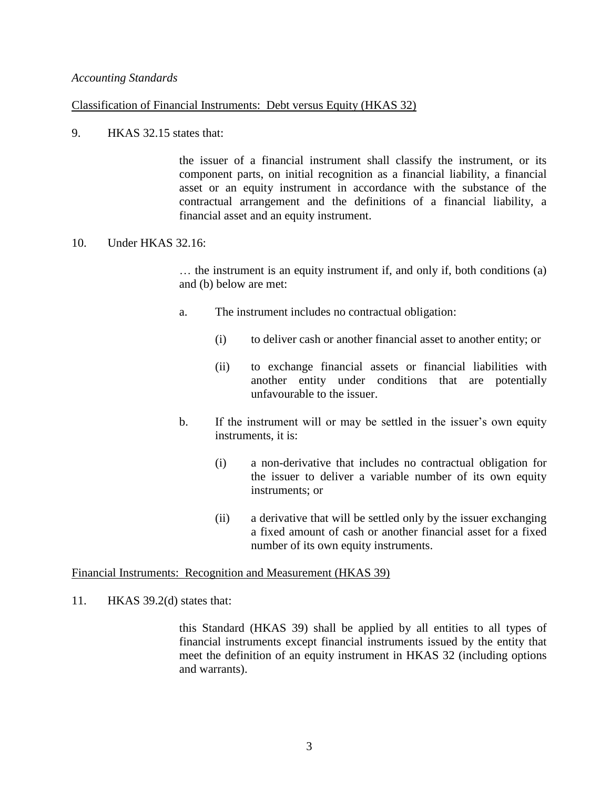#### *Accounting Standards*

#### Classification of Financial Instruments: Debt versus Equity (HKAS 32)

9. HKAS 32.15 states that:

the issuer of a financial instrument shall classify the instrument, or its component parts, on initial recognition as a financial liability, a financial asset or an equity instrument in accordance with the substance of the contractual arrangement and the definitions of a financial liability, a financial asset and an equity instrument.

#### 10. Under HKAS 32.16:

… the instrument is an equity instrument if, and only if, both conditions (a) and (b) below are met:

- a. The instrument includes no contractual obligation:
	- (i) to deliver cash or another financial asset to another entity; or
	- (ii) to exchange financial assets or financial liabilities with another entity under conditions that are potentially unfavourable to the issuer.
- b. If the instrument will or may be settled in the issuer's own equity instruments, it is:
	- (i) a non-derivative that includes no contractual obligation for the issuer to deliver a variable number of its own equity instruments; or
	- (ii) a derivative that will be settled only by the issuer exchanging a fixed amount of cash or another financial asset for a fixed number of its own equity instruments.

#### Financial Instruments: Recognition and Measurement (HKAS 39)

11. HKAS 39.2(d) states that:

this Standard (HKAS 39) shall be applied by all entities to all types of financial instruments except financial instruments issued by the entity that meet the definition of an equity instrument in HKAS 32 (including options and warrants).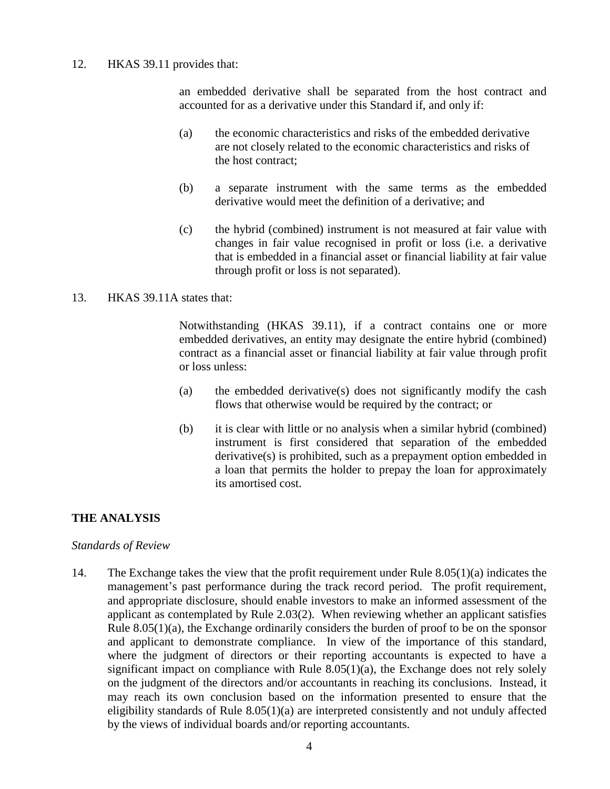### 12. HKAS 39.11 provides that:

an embedded derivative shall be separated from the host contract and accounted for as a derivative under this Standard if, and only if:

- (a) the economic characteristics and risks of the embedded derivative are not closely related to the economic characteristics and risks of the host contract;
- (b) a separate instrument with the same terms as the embedded derivative would meet the definition of a derivative; and
- (c) the hybrid (combined) instrument is not measured at fair value with changes in fair value recognised in profit or loss (i.e. a derivative that is embedded in a financial asset or financial liability at fair value through profit or loss is not separated).

### 13. HKAS 39.11A states that:

Notwithstanding (HKAS 39.11), if a contract contains one or more embedded derivatives, an entity may designate the entire hybrid (combined) contract as a financial asset or financial liability at fair value through profit or loss unless:

- (a) the embedded derivative(s) does not significantly modify the cash flows that otherwise would be required by the contract; or
- (b) it is clear with little or no analysis when a similar hybrid (combined) instrument is first considered that separation of the embedded derivative(s) is prohibited, such as a prepayment option embedded in a loan that permits the holder to prepay the loan for approximately its amortised cost.

### **THE ANALYSIS**

### *Standards of Review*

14. The Exchange takes the view that the profit requirement under Rule 8.05(1)(a) indicates the management's past performance during the track record period. The profit requirement, and appropriate disclosure, should enable investors to make an informed assessment of the applicant as contemplated by Rule 2.03(2). When reviewing whether an applicant satisfies Rule  $8.05(1)(a)$ , the Exchange ordinarily considers the burden of proof to be on the sponsor and applicant to demonstrate compliance. In view of the importance of this standard, where the judgment of directors or their reporting accountants is expected to have a significant impact on compliance with Rule  $8.05(1)(a)$ , the Exchange does not rely solely on the judgment of the directors and/or accountants in reaching its conclusions. Instead, it may reach its own conclusion based on the information presented to ensure that the eligibility standards of Rule 8.05(1)(a) are interpreted consistently and not unduly affected by the views of individual boards and/or reporting accountants.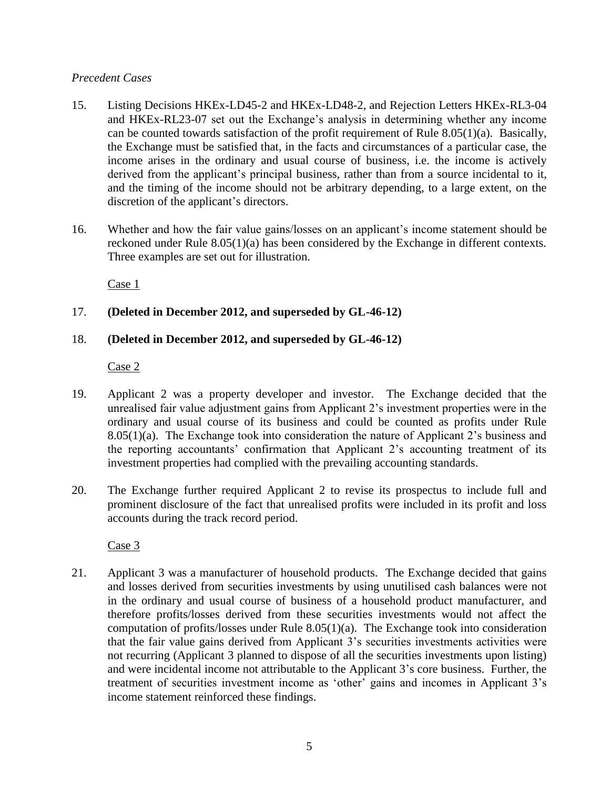### *Precedent Cases*

- 15. Listing Decisions HKEx-LD45-2 and HKEx-LD48-2, and Rejection Letters HKEx-RL3-04 and HKEx-RL23-07 set out the Exchange's analysis in determining whether any income can be counted towards satisfaction of the profit requirement of Rule 8.05(1)(a). Basically, the Exchange must be satisfied that, in the facts and circumstances of a particular case, the income arises in the ordinary and usual course of business, i.e. the income is actively derived from the applicant's principal business, rather than from a source incidental to it, and the timing of the income should not be arbitrary depending, to a large extent, on the discretion of the applicant's directors.
- 16. Whether and how the fair value gains/losses on an applicant's income statement should be reckoned under Rule 8.05(1)(a) has been considered by the Exchange in different contexts. Three examples are set out for illustration.

Case 1

## 17. **(Deleted in December 2012, and superseded by GL-46-12)**

## 18. **(Deleted in December 2012, and superseded by GL-46-12)**

Case 2

- 19. Applicant 2 was a property developer and investor. The Exchange decided that the unrealised fair value adjustment gains from Applicant 2's investment properties were in the ordinary and usual course of its business and could be counted as profits under Rule 8.05(1)(a). The Exchange took into consideration the nature of Applicant 2's business and the reporting accountants' confirmation that Applicant 2's accounting treatment of its investment properties had complied with the prevailing accounting standards.
- 20. The Exchange further required Applicant 2 to revise its prospectus to include full and prominent disclosure of the fact that unrealised profits were included in its profit and loss accounts during the track record period.

Case 3

21. Applicant 3 was a manufacturer of household products. The Exchange decided that gains and losses derived from securities investments by using unutilised cash balances were not in the ordinary and usual course of business of a household product manufacturer, and therefore profits/losses derived from these securities investments would not affect the computation of profits/losses under Rule 8.05(1)(a). The Exchange took into consideration that the fair value gains derived from Applicant 3's securities investments activities were not recurring (Applicant 3 planned to dispose of all the securities investments upon listing) and were incidental income not attributable to the Applicant 3's core business. Further, the treatment of securities investment income as 'other' gains and incomes in Applicant 3's income statement reinforced these findings.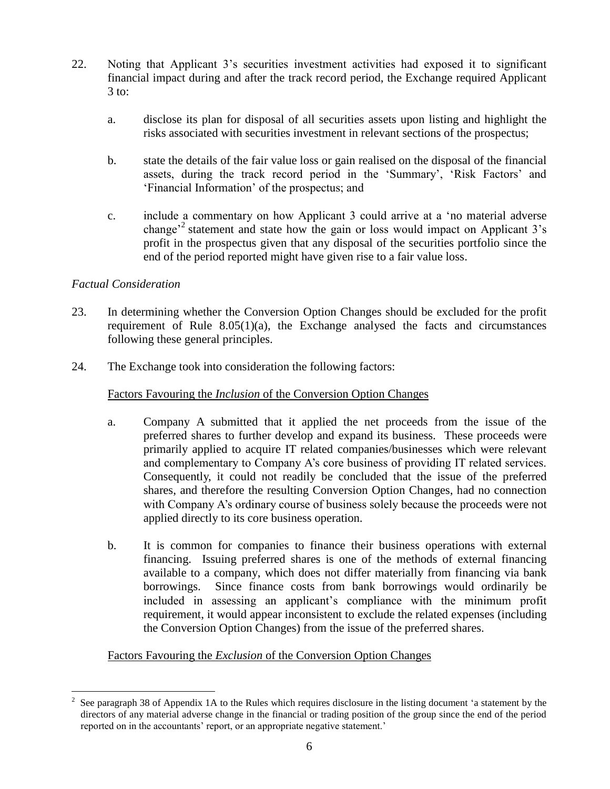- 22. Noting that Applicant 3's securities investment activities had exposed it to significant financial impact during and after the track record period, the Exchange required Applicant  $3$  to:
	- a. disclose its plan for disposal of all securities assets upon listing and highlight the risks associated with securities investment in relevant sections of the prospectus;
	- b. state the details of the fair value loss or gain realised on the disposal of the financial assets, during the track record period in the 'Summary', 'Risk Factors' and 'Financial Information' of the prospectus; and
	- c. include a commentary on how Applicant 3 could arrive at a 'no material adverse change<sup>2</sup> statement and state how the gain or loss would impact on Applicant 3's profit in the prospectus given that any disposal of the securities portfolio since the end of the period reported might have given rise to a fair value loss.

### *Factual Consideration*

- 23. In determining whether the Conversion Option Changes should be excluded for the profit requirement of Rule 8.05(1)(a), the Exchange analysed the facts and circumstances following these general principles.
- 24. The Exchange took into consideration the following factors:

### Factors Favouring the *Inclusion* of the Conversion Option Changes

- a. Company A submitted that it applied the net proceeds from the issue of the preferred shares to further develop and expand its business. These proceeds were primarily applied to acquire IT related companies/businesses which were relevant and complementary to Company A's core business of providing IT related services. Consequently, it could not readily be concluded that the issue of the preferred shares, and therefore the resulting Conversion Option Changes, had no connection with Company A's ordinary course of business solely because the proceeds were not applied directly to its core business operation.
- b. It is common for companies to finance their business operations with external financing. Issuing preferred shares is one of the methods of external financing available to a company, which does not differ materially from financing via bank borrowings. Since finance costs from bank borrowings would ordinarily be included in assessing an applicant's compliance with the minimum profit requirement, it would appear inconsistent to exclude the related expenses (including the Conversion Option Changes) from the issue of the preferred shares.

## Factors Favouring the *Exclusion* of the Conversion Option Changes

 $\overline{a}$ 2 See paragraph 38 of Appendix 1A to the Rules which requires disclosure in the listing document 'a statement by the directors of any material adverse change in the financial or trading position of the group since the end of the period reported on in the accountants' report, or an appropriate negative statement.'